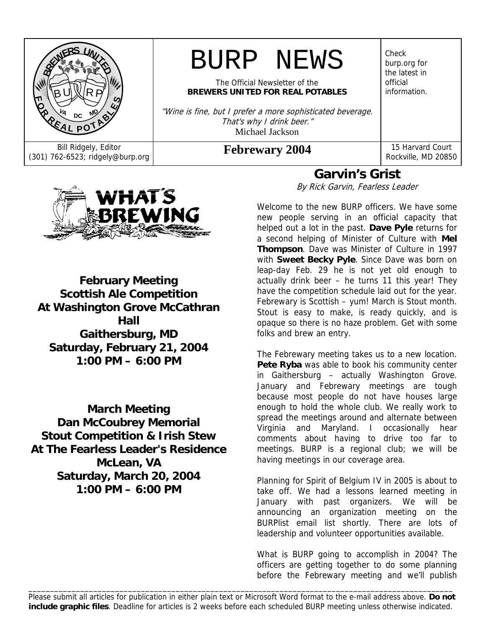

# BURP NEWS

The Official Newsletter of the **BREWERS UNITED FOR REAL POTABLES**

"Wine is fine, but I prefer a more sophisticated beverage. That's why I drink beer." Michael Jackson

Bill Ridgely, Editor **Febrewary 2004** 15 Harvard Court (301) 762-6523; ridgely@burp.org **Febrewary 2004** Rockville, MD 2085

Check burp.org for the latest in official information.

Rockville, MD 20850



**February Meeting Scottish Ale Competition At Washington Grove McCathran Hall Gaithersburg, MD Saturday, February 21, 2004 1:00 PM – 6:00 PM**

**March Meeting Dan McCoubrey Memorial Stout Competition & Irish Stew At The Fearless Leader's Residence McLean, VA Saturday, March 20, 2004 1:00 PM – 6:00 PM**

# **Garvin's Grist**

By Rick Garvin, Fearless Leader

Welcome to the new BURP officers. We have some new people serving in an official capacity that helped out a lot in the past. **Dave Pyle** returns for a second helping of Minister of Culture with **Mel Thompson**. Dave was Minister of Culture in 1997 with **Sweet Becky Pyle**. Since Dave was born on leap-day Feb. 29 he is not yet old enough to actually drink beer – he turns 11 this year! They have the competition schedule laid out for the year. Febrewary is Scottish – yum! March is Stout month. Stout is easy to make, is ready quickly, and is opaque so there is no haze problem. Get with some folks and brew an entry.

The Febrewary meeting takes us to a new location. Pete Ryba was able to book his community center in Gaithersburg – actually Washington Grove. January and Febrewary meetings are tough because most people do not have houses large enough to hold the whole club. We really work to spread the meetings around and alternate between Virginia and Maryland. I occasionally hear comments about having to drive too far to meetings. BURP is a regional club; we will be having meetings in our coverage area.

Planning for Spirit of Belgium IV in 2005 is about to take off. We had a lessons learned meeting in January with past organizers. We will be announcing an organization meeting on the BURPlist email list shortly. There are lots of leadership and volunteer opportunities available.

What is BURP going to accomplish in 2004? The officers are getting together to do some planning before the Febrewary meeting and we'll publish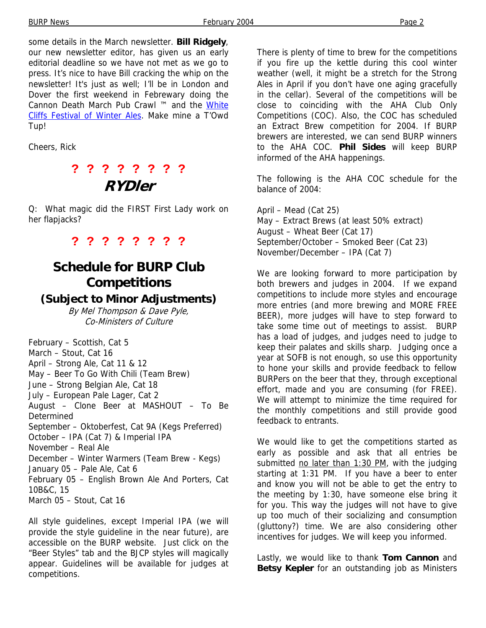some details in the March newsletter. **Bill Ridgely**, our new newsletter editor, has given us an early editorial deadline so we have not met as we go to press. It's nice to have Bill cracking the whip on the newsletter! It's just as well; I'll be in London and Dover the first weekend in Febrewary doing the Cannon Death March Pub Crawl ™ and the White Cliffs Festival of Winter Ales. Make mine a T'Owd Tup!

Cheers, Rick

# **? ? ? ? ? ? ? ? RYDler**

Q: What magic did the FIRST First Lady work on her flapjacks?

**? ? ? ? ? ? ? ?** 

# **Schedule for BURP Club Competitions**

### **(Subject to Minor Adjustments)**

By Mel Thompson & Dave Pyle, Co-Ministers of Culture

February – Scottish, Cat 5 March – Stout, Cat 16 April – Strong Ale, Cat 11 & 12 May – Beer To Go With Chili (Team Brew) June – Strong Belgian Ale, Cat 18 July – European Pale Lager, Cat 2 August – Clone Beer at MASHOUT – To Be **Determined** September – Oktoberfest, Cat 9A (Kegs Preferred) October – IPA (Cat 7) & Imperial IPA November – Real Ale December – Winter Warmers (Team Brew - Kegs) January 05 – Pale Ale, Cat 6 February 05 – English Brown Ale And Porters, Cat 10B&C, 15 March 05 – Stout, Cat 16

All style guidelines, except Imperial IPA (we will provide the style guideline in the near future), are accessible on the BURP website. Just click on the "Beer Styles" tab and the BJCP styles will magically appear. Guidelines will be available for judges at competitions.

There is plenty of time to brew for the competitions if you fire up the kettle during this cool winter weather (well, it might be a stretch for the Strong Ales in April if you don't have one aging gracefully in the cellar). Several of the competitions will be close to coinciding with the AHA Club Only Competitions (COC). Also, the COC has scheduled an Extract Brew competition for 2004. If BURP brewers are interested, we can send BURP winners to the AHA COC. **Phil Sides** will keep BURP informed of the AHA happenings.

The following is the AHA COC schedule for the balance of 2004:

April – Mead (Cat 25) May – Extract Brews (at least 50% extract) August – Wheat Beer (Cat 17) September/October – Smoked Beer (Cat 23) November/December – IPA (Cat 7)

We are looking forward to more participation by both brewers and judges in 2004. If we expand competitions to include more styles and encourage more entries (and more brewing and MORE FREE BEER), more judges will have to step forward to take some time out of meetings to assist. BURP has a load of judges, and judges need to judge to keep their palates and skills sharp. Judging once a year at SOFB is not enough, so use this opportunity to hone your skills and provide feedback to fellow BURPers on the beer that they, through exceptional effort, made and you are consuming (for FREE). We will attempt to minimize the time required for the monthly competitions and still provide good feedback to entrants.

We would like to get the competitions started as early as possible and ask that all entries be submitted no later than 1:30 PM, with the judging starting at 1:31 PM. If you have a beer to enter and know you will not be able to get the entry to the meeting by 1:30, have someone else bring it for you. This way the judges will not have to give up too much of their socializing and consumption (gluttony?) time. We are also considering other incentives for judges. We will keep you informed.

Lastly, we would like to thank **Tom Cannon** and **Betsy Kepler** for an outstanding job as Ministers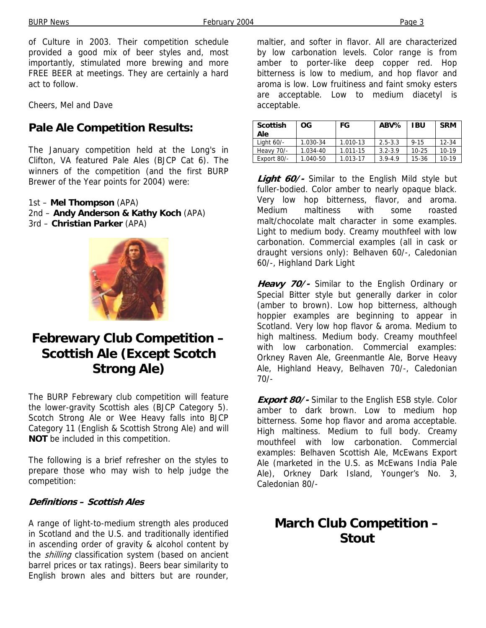BURP News **February 2004** Page 3

of Culture in 2003. Their competition schedule provided a good mix of beer styles and, most importantly, stimulated more brewing and more FREE BEER at meetings. They are certainly a hard act to follow.

Cheers, Mel and Dave

### **Pale Ale Competition Results:**

The January competition held at the Long's in Clifton, VA featured Pale Ales (BJCP Cat 6). The winners of the competition (and the first BURP Brewer of the Year points for 2004) were:

1st – **Mel Thompson** (APA) 2nd – **Andy Anderson & Kathy Koch** (APA) 3rd – **Christian Parker** (APA)



# **Febrewary Club Competition – Scottish Ale (Except Scotch Strong Ale)**

The BURP Febrewary club competition will feature the lower-gravity Scottish ales (BJCP Category 5). Scotch Strong Ale or Wee Heavy falls into BJCP Category 11 (English & Scottish Strong Ale) and will **NOT** be included in this competition.

The following is a brief refresher on the styles to prepare those who may wish to help judge the competition:

#### **Definitions – Scottish Ales**

A range of light-to-medium strength ales produced in Scotland and the U.S. and traditionally identified in ascending order of gravity & alcohol content by the *shilling* classification system (based on ancient barrel prices or tax ratings). Beers bear similarity to English brown ales and bitters but are rounder,

maltier, and softer in flavor. All are characterized by low carbonation levels. Color range is from amber to porter-like deep copper red. Hop bitterness is low to medium, and hop flavor and aroma is low. Low fruitiness and faint smoky esters are acceptable. Low to medium diacetyl is acceptable.

| <b>Scottish</b><br>Ale | OG.      | FG       | ABV%        | <b>IBU</b> | <b>SRM</b> |
|------------------------|----------|----------|-------------|------------|------------|
| Light 60/-             | 1.030-34 | 1.010-13 | $2.5 - 3.3$ | $9 - 15$   | $12 - 34$  |
| Heavy 70/-             | 1.034-40 | 1.011-15 | $3.2 - 3.9$ | $10 - 25$  | $10-19$    |
| Export 80/-            | 1.040-50 | 1.013-17 | $3.9 - 4.9$ | 15-36      | $10 - 19$  |

**Light 60/-** Similar to the English Mild style but fuller-bodied. Color amber to nearly opaque black. Very low hop bitterness, flavor, and aroma. Medium maltiness with some roasted malt/chocolate malt character in some examples. Light to medium body. Creamy mouthfeel with low carbonation. Commercial examples (all in cask or draught versions only): Belhaven 60/-, Caledonian 60/-, Highland Dark Light

**Heavy 70/-** Similar to the English Ordinary or Special Bitter style but generally darker in color (amber to brown). Low hop bitterness, although hoppier examples are beginning to appear in Scotland. Very low hop flavor & aroma. Medium to high maltiness. Medium body. Creamy mouthfeel with low carbonation. Commercial examples: Orkney Raven Ale, Greenmantle Ale, Borve Heavy Ale, Highland Heavy, Belhaven 70/-, Caledonian 70/-

**Export 80/-** Similar to the English ESB style. Color amber to dark brown. Low to medium hop bitterness. Some hop flavor and aroma acceptable. High maltiness. Medium to full body. Creamy mouthfeel with low carbonation. Commercial examples: Belhaven Scottish Ale, McEwans Export Ale (marketed in the U.S. as McEwans India Pale Ale), Orkney Dark Island, Younger's No. 3, Caledonian 80/-

# **March Club Competition – Stout**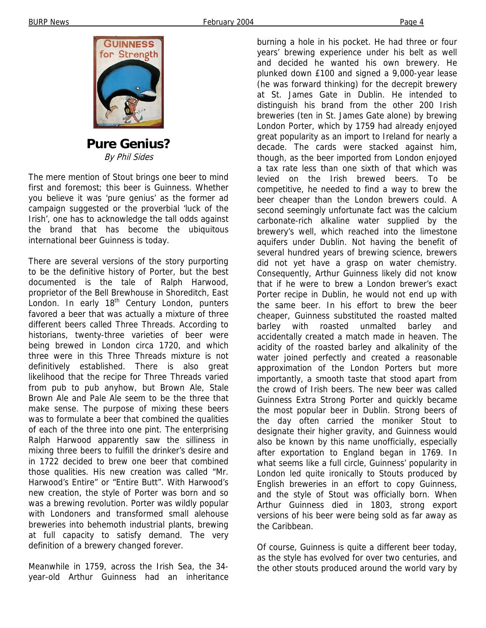

**Pure Genius?**  By Phil Sides

The mere mention of Stout brings one beer to mind first and foremost; this beer is Guinness. Whether you believe it was 'pure genius' as the former ad campaign suggested or the proverbial 'luck of the Irish', one has to acknowledge the tall odds against the brand that has become the ubiquitous international beer Guinness is today.

There are several versions of the story purporting to be the definitive history of Porter, but the best documented is the tale of Ralph Harwood, proprietor of the Bell Brewhouse in Shoreditch, East London. In early 18<sup>th</sup> Century London, punters favored a beer that was actually a mixture of three different beers called Three Threads. According to historians, twenty-three varieties of beer were being brewed in London circa 1720, and which three were in this Three Threads mixture is not definitively established. There is also great likelihood that the recipe for Three Threads varied from pub to pub anyhow, but Brown Ale, Stale Brown Ale and Pale Ale seem to be the three that make sense. The purpose of mixing these beers was to formulate a beer that combined the qualities of each of the three into one pint. The enterprising Ralph Harwood apparently saw the silliness in mixing three beers to fulfill the drinker's desire and in 1722 decided to brew one beer that combined those qualities. His new creation was called "Mr. Harwood's Entire" or "Entire Butt". With Harwood's new creation, the style of Porter was born and so was a brewing revolution. Porter was wildly popular with Londoners and transformed small alehouse breweries into behemoth industrial plants, brewing at full capacity to satisfy demand. The very definition of a brewery changed forever.

Meanwhile in 1759, across the Irish Sea, the 34 year-old Arthur Guinness had an inheritance

burning a hole in his pocket. He had three or four years' brewing experience under his belt as well and decided he wanted his own brewery. He plunked down £100 and signed a 9,000-year lease (he was forward thinking) for the decrepit brewery at St. James Gate in Dublin. He intended to distinguish his brand from the other 200 Irish breweries (ten in St. James Gate alone) by brewing London Porter, which by 1759 had already enjoyed great popularity as an import to Ireland for nearly a decade. The cards were stacked against him, though, as the beer imported from London enjoyed a tax rate less than one sixth of that which was levied on the Irish brewed beers. To be competitive, he needed to find a way to brew the beer cheaper than the London brewers could. A second seemingly unfortunate fact was the calcium carbonate-rich alkaline water supplied by the brewery's well, which reached into the limestone aquifers under Dublin. Not having the benefit of several hundred years of brewing science, brewers did not yet have a grasp on water chemistry. Consequently, Arthur Guinness likely did not know that if he were to brew a London brewer's exact Porter recipe in Dublin, he would not end up with the same beer. In his effort to brew the beer cheaper, Guinness substituted the roasted malted barley with roasted unmalted barley and accidentally created a match made in heaven. The acidity of the roasted barley and alkalinity of the water joined perfectly and created a reasonable approximation of the London Porters but more importantly, a smooth taste that stood apart from the crowd of Irish beers. The new beer was called Guinness Extra Strong Porter and quickly became the most popular beer in Dublin. Strong beers of the day often carried the moniker Stout to designate their higher gravity, and Guinness would also be known by this name unofficially, especially after exportation to England began in 1769. In what seems like a full circle, Guinness' popularity in London led quite ironically to Stouts produced by English breweries in an effort to copy Guinness, and the style of Stout was officially born. When Arthur Guinness died in 1803, strong export versions of his beer were being sold as far away as the Caribbean.

Of course, Guinness is quite a different beer today, as the style has evolved for over two centuries, and the other stouts produced around the world vary by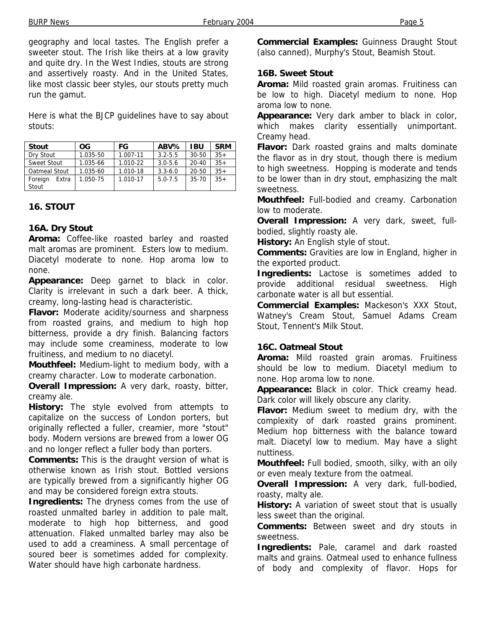BURP News **February 2004** Page 5

geography and local tastes. The English prefer a sweeter stout. The Irish like theirs at a low gravity and quite dry. In the West Indies, stouts are strong and assertively roasty. And in the United States, like most classic beer styles, our stouts pretty much run the gamut.

Here is what the BJCP guidelines have to say about stouts:

| <b>Stout</b>     | <b>OG</b> | FG       | ABV%        | <b>IBU</b> | <b>SRM</b> |
|------------------|-----------|----------|-------------|------------|------------|
| Dry Stout        | 1.035-50  | 1.007-11 | $3.2 - 5.5$ | $30 - 50$  | $35+$      |
| Sweet Stout      | 1.035-66  | 1.010-22 | $3.0 - 5.6$ | $20 - 40$  | $35+$      |
| Oatmeal Stout    | 1.035-60  | 1.010-18 | $3.3 - 6.0$ | 20-50      | $35+$      |
| Foreign<br>Extra | 1.050-75  | 1.010-17 | $5.0 - 7.5$ | $35 - 70$  | $35+$      |
| Stout            |           |          |             |            |            |

### **16. STOUT**

#### **16A. Dry Stout**

**Aroma:** Coffee-like roasted barley and roasted malt aromas are prominent. Esters low to medium. Diacetyl moderate to none. Hop aroma low to none.

**Appearance:** Deep garnet to black in color. Clarity is irrelevant in such a dark beer. A thick, creamy, long-lasting head is characteristic.

**Flavor:** Moderate acidity/sourness and sharpness from roasted grains, and medium to high hop bitterness, provide a dry finish. Balancing factors may include some creaminess, moderate to low fruitiness, and medium to no diacetyl.

**Mouthfeel:** Medium-light to medium body, with a creamy character. Low to moderate carbonation.

**Overall Impression:** A very dark, roasty, bitter, creamy ale.

**History:** The style evolved from attempts to capitalize on the success of London porters, but originally reflected a fuller, creamier, more "stout" body. Modern versions are brewed from a lower OG and no longer reflect a fuller body than porters.

**Comments:** This is the draught version of what is otherwise known as Irish stout. Bottled versions are typically brewed from a significantly higher OG and may be considered foreign extra stouts.

**Ingredients:** The dryness comes from the use of roasted unmalted barley in addition to pale malt, moderate to high hop bitterness, and good attenuation. Flaked unmalted barley may also be used to add a creaminess. A small percentage of soured beer is sometimes added for complexity. Water should have high carbonate hardness.

**Commercial Examples:** Guinness Draught Stout (also canned), Murphy's Stout, Beamish Stout.

#### **16B. Sweet Stout**

**Aroma:** Mild roasted grain aromas. Fruitiness can be low to high. Diacetyl medium to none. Hop aroma low to none.

**Appearance:** Very dark amber to black in color, which makes clarity essentially unimportant. Creamy head.

**Flavor:** Dark roasted grains and malts dominate the flavor as in dry stout, though there is medium to high sweetness. Hopping is moderate and tends to be lower than in dry stout, emphasizing the malt sweetness.

**Mouthfeel:** Full-bodied and creamy. Carbonation low to moderate.

**Overall Impression:** A very dark, sweet, fullbodied, slightly roasty ale.

**History:** An English style of stout.

**Comments:** Gravities are low in England, higher in the exported product.

**Ingredients:** Lactose is sometimes added to provide additional residual sweetness. High carbonate water is all but essential.

**Commercial Examples:** Mackeson's XXX Stout, Watney's Cream Stout, Samuel Adams Cream Stout, Tennent's Milk Stout.

#### **16C. Oatmeal Stout**

**Aroma:** Mild roasted grain aromas. Fruitiness should be low to medium. Diacetyl medium to none. Hop aroma low to none.

**Appearance:** Black in color. Thick creamy head. Dark color will likely obscure any clarity.

**Flavor:** Medium sweet to medium dry, with the complexity of dark roasted grains prominent. Medium hop bitterness with the balance toward malt. Diacetyl low to medium. May have a slight nuttiness.

**Mouthfeel:** Full bodied, smooth, silky, with an oily or even mealy texture from the oatmeal.

**Overall Impression:** A very dark, full-bodied, roasty, malty ale.

**History:** A variation of sweet stout that is usually less sweet than the original.

**Comments:** Between sweet and dry stouts in sweetness.

**Ingredients:** Pale, caramel and dark roasted malts and grains. Oatmeal used to enhance fullness of body and complexity of flavor. Hops for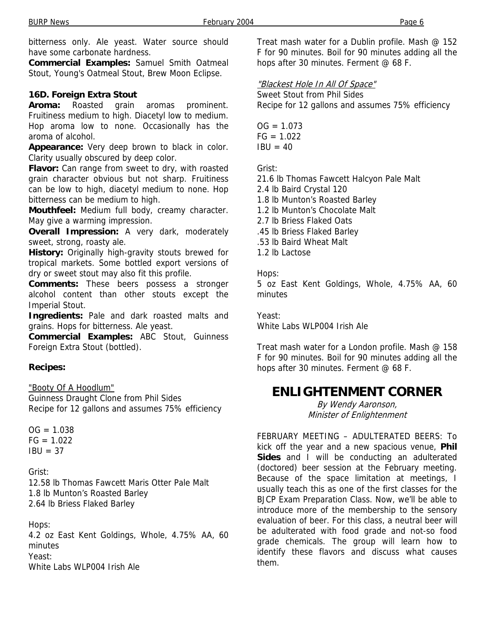bitterness only. Ale yeast. Water source should have some carbonate hardness.

**Commercial Examples:** Samuel Smith Oatmeal Stout, Young's Oatmeal Stout, Brew Moon Eclipse.

### **16D. Foreign Extra Stout**

**Aroma:** Roasted grain aromas prominent. Fruitiness medium to high. Diacetyl low to medium. Hop aroma low to none. Occasionally has the aroma of alcohol.

**Appearance:** Very deep brown to black in color. Clarity usually obscured by deep color.

**Flavor:** Can range from sweet to dry, with roasted grain character obvious but not sharp. Fruitiness can be low to high, diacetyl medium to none. Hop bitterness can be medium to high.

**Mouthfeel:** Medium full body, creamy character. May give a warming impression.

**Overall Impression:** A very dark, moderately sweet, strong, roasty ale.

**History:** Originally high-gravity stouts brewed for tropical markets. Some bottled export versions of dry or sweet stout may also fit this profile.

**Comments:** These beers possess a stronger alcohol content than other stouts except the Imperial Stout.

**Ingredients:** Pale and dark roasted malts and grains. Hops for bitterness. Ale yeast.

**Commercial Examples:** ABC Stout, Guinness Foreign Extra Stout (bottled).

### **Recipes:**

"Booty Of A Hoodlum"

Guinness Draught Clone from Phil Sides Recipe for 12 gallons and assumes 75% efficiency

 $OG = 1.038$  $FG = 1.022$  $IBU = 37$ 

Grist:

12.58 lb Thomas Fawcett Maris Otter Pale Malt 1.8 lb Munton's Roasted Barley 2.64 lb Briess Flaked Barley

#### Hops:

4.2 oz East Kent Goldings, Whole, 4.75% AA, 60 minutes Yeast: White Labs WLP004 Irish Ale

Treat mash water for a Dublin profile. Mash @ 152 F for 90 minutes. Boil for 90 minutes adding all the hops after 30 minutes. Ferment @ 68 F.

### "Blackest Hole In All Of Space"

Sweet Stout from Phil Sides Recipe for 12 gallons and assumes 75% efficiency

 $OG = 1.073$  $FG = 1.022$  $IBU = 40$ 

Grist:

21.6 lb Thomas Fawcett Halcyon Pale Malt

2.4 lb Baird Crystal 120

1.8 lb Munton's Roasted Barley

1.2 lb Munton's Chocolate Malt

- 2.7 lb Briess Flaked Oats
- .45 lb Briess Flaked Barley
- .53 lb Baird Wheat Malt
- 1.2 lb Lactose

Hops: 5 oz East Kent Goldings, Whole, 4.75% AA, 60 minutes

Yeast: White Labs WLP004 Irish Ale

Treat mash water for a London profile. Mash @ 158 F for 90 minutes. Boil for 90 minutes adding all the hops after 30 minutes. Ferment @ 68 F.

### **ENLIGHTENMENT CORNER**

By Wendy Aaronson, Minister of Enlightenment

FEBRUARY MEETING – ADULTERATED BEERS: To kick off the year and a new spacious venue, **Phil Sides** and I will be conducting an adulterated (doctored) beer session at the February meeting. Because of the space limitation at meetings, I usually teach this as one of the first classes for the BJCP Exam Preparation Class. Now, we'll be able to introduce more of the membership to the sensory evaluation of beer. For this class, a neutral beer will be adulterated with food grade and not-so food grade chemicals. The group will learn how to identify these flavors and discuss what causes them.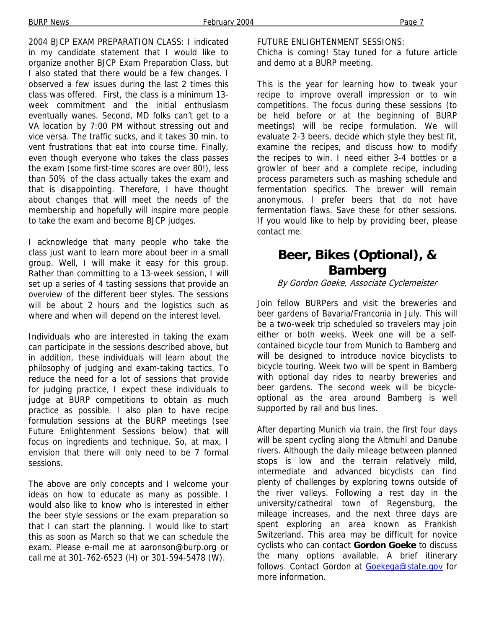2004 BJCP EXAM PREPARATION CLASS: I indicated in my candidate statement that I would like to organize another BJCP Exam Preparation Class, but I also stated that there would be a few changes. I observed a few issues during the last 2 times this class was offered. First, the class is a minimum 13 week commitment and the initial enthusiasm eventually wanes. Second, MD folks can't get to a VA location by 7:00 PM without stressing out and vice versa. The traffic sucks, and it takes 30 min. to vent frustrations that eat into course time. Finally,

even though everyone who takes the class passes the exam (some first-time scores are over 80!), less than 50% of the class actually takes the exam and that is disappointing. Therefore, I have thought about changes that will meet the needs of the membership and hopefully will inspire more people to take the exam and become BJCP judges.

I acknowledge that many people who take the class just want to learn more about beer in a small group. Well, I will make it easy for this group. Rather than committing to a 13-week session, I will set up a series of 4 tasting sessions that provide an overview of the different beer styles. The sessions will be about 2 hours and the logistics such as where and when will depend on the interest level.

Individuals who are interested in taking the exam can participate in the sessions described above, but in addition, these individuals will learn about the philosophy of judging and exam-taking tactics. To reduce the need for a lot of sessions that provide for judging practice, I expect these individuals to judge at BURP competitions to obtain as much practice as possible. I also plan to have recipe formulation sessions at the BURP meetings (see Future Enlightenment Sessions below) that will focus on ingredients and technique. So, at max, I envision that there will only need to be 7 formal sessions.

The above are only concepts and I welcome your ideas on how to educate as many as possible. I would also like to know who is interested in either the beer style sessions or the exam preparation so that I can start the planning. I would like to start this as soon as March so that we can schedule the exam. Please e-mail me at aaronson@burp.org or call me at 301-762-6523 (H) or 301-594-5478 (W).

FUTURE ENLIGHTENMENT SESSIONS:

Chicha is coming! Stay tuned for a future article and demo at a BURP meeting.

This is the year for learning how to tweak your recipe to improve overall impression or to win competitions. The focus during these sessions (to be held before or at the beginning of BURP meetings) will be recipe formulation. We will evaluate 2-3 beers, decide which style they best fit, examine the recipes, and discuss how to modify the recipes to win. I need either 3-4 bottles or a growler of beer and a complete recipe, including process parameters such as mashing schedule and fermentation specifics. The brewer will remain anonymous. I prefer beers that do not have fermentation flaws. Save these for other sessions. If you would like to help by providing beer, please contact me.

### **Beer, Bikes (Optional), & Bamberg**

#### By Gordon Goeke, Associate Cyclemeister

Join fellow BURPers and visit the breweries and beer gardens of Bavaria/Franconia in July. This will be a two-week trip scheduled so travelers may join either or both weeks. Week one will be a selfcontained bicycle tour from Munich to Bamberg and will be designed to introduce novice bicyclists to bicycle touring. Week two will be spent in Bamberg with optional day rides to nearby breweries and beer gardens. The second week will be bicycleoptional as the area around Bamberg is well supported by rail and bus lines.

After departing Munich via train, the first four days will be spent cycling along the Altmuhl and Danube rivers. Although the daily mileage between planned stops is low and the terrain relatively mild, intermediate and advanced bicyclists can find plenty of challenges by exploring towns outside of the river valleys. Following a rest day in the university/cathedral town of Regensburg, the mileage increases, and the next three days are spent exploring an area known as Frankish Switzerland. This area may be difficult for novice cyclists who can contact **Gordon Goeke** to discuss the many options available. A brief itinerary follows. Contact Gordon at Goekega@state.gov for more information.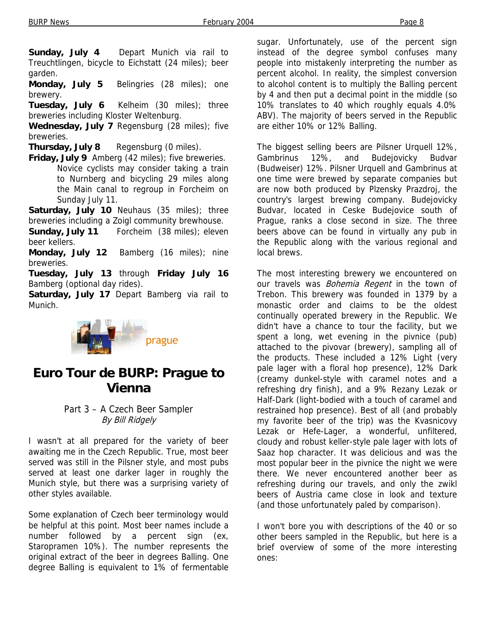**Sunday, July 4** Depart Munich via rail to Treuchtlingen, bicycle to Eichstatt (24 miles); beer garden.

**Monday, July 5** Belingries (28 miles); one brewery.

**Tuesday, July 6** Kelheim (30 miles); three breweries including Kloster Weltenburg.

**Wednesday, July 7** Regensburg (28 miles); five breweries.

**Thursday, July 8** Regensburg (0 miles).

**Friday, July 9** Amberg (42 miles); five breweries. Novice cyclists may consider taking a train to Nurnberg and bicycling 29 miles along the Main canal to regroup in Forcheim on Sunday July 11.

**Saturday, July 10** Neuhaus (35 miles); three breweries including a Zoigl community brewhouse.

**Sunday, July 11** Forcheim (38 miles); eleven beer kellers.

**Monday, July 12** Bamberg (16 miles); nine breweries.

**Tuesday, July 13** through **Friday July 16** Bamberg (optional day rides).

**Saturday, July 17** Depart Bamberg via rail to Munich.



# **Euro Tour de BURP: Prague to Vienna**

### Part 3 – A Czech Beer Sampler By Bill Ridgely

I wasn't at all prepared for the variety of beer awaiting me in the Czech Republic. True, most beer served was still in the Pilsner style, and most pubs served at least one darker lager in roughly the Munich style, but there was a surprising variety of other styles available.

Some explanation of Czech beer terminology would be helpful at this point. Most beer names include a number followed by a percent sign (ex, Staropramen 10%). The number represents the original extract of the beer in degrees Balling. One degree Balling is equivalent to 1% of fermentable

sugar. Unfortunately, use of the percent sign instead of the degree symbol confuses many people into mistakenly interpreting the number as percent alcohol. In reality, the simplest conversion to alcohol content is to multiply the Balling percent by 4 and then put a decimal point in the middle (so 10% translates to 40 which roughly equals 4.0% ABV). The majority of beers served in the Republic are either 10% or 12% Balling.

The biggest selling beers are Pilsner Urquell 12%, Gambrinus 12%, and Budejovicky Budvar (Budweiser) 12%. Pilsner Urquell and Gambrinus at one time were brewed by separate companies but are now both produced by Plzensky Prazdroj, the country's largest brewing company. Budejovicky Budvar, located in Ceske Budejovice south of Prague, ranks a close second in size. The three beers above can be found in virtually any pub in the Republic along with the various regional and local brews.

The most interesting brewery we encountered on our travels was *Bohemia Regent* in the town of Trebon. This brewery was founded in 1379 by a monastic order and claims to be the oldest continually operated brewery in the Republic. We didn't have a chance to tour the facility, but we spent a long, wet evening in the pivnice (pub) attached to the pivovar (brewery), sampling all of the products. These included a 12% Light (very pale lager with a floral hop presence), 12% Dark (creamy dunkel-style with caramel notes and a refreshing dry finish), and a 9% Rezany Lezak or Half-Dark (light-bodied with a touch of caramel and restrained hop presence). Best of all (and probably my favorite beer of the trip) was the Kvasnicovy Lezak or Hefe-Lager, a wonderful, unfiltered, cloudy and robust keller-style pale lager with lots of Saaz hop character. It was delicious and was the most popular beer in the pivnice the night we were there. We never encountered another beer as refreshing during our travels, and only the zwikl beers of Austria came close in look and texture (and those unfortunately paled by comparison).

I won't bore you with descriptions of the 40 or so other beers sampled in the Republic, but here is a brief overview of some of the more interesting ones: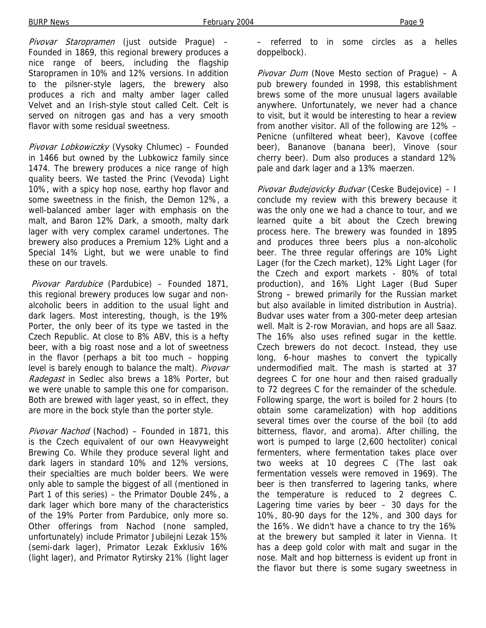Pivovar Staropramen (just outside Prague) -Founded in 1869, this regional brewery produces a nice range of beers, including the flagship Staropramen in 10% and 12% versions. In addition to the pilsner-style lagers, the brewery also produces a rich and malty amber lager called Velvet and an Irish-style stout called Celt. Celt is served on nitrogen gas and has a very smooth flavor with some residual sweetness.

Pivovar Lobkowiczky (Vysoky Chlumec) – Founded in 1466 but owned by the Lubkowicz family since 1474. The brewery produces a nice range of high quality beers. We tasted the Princ (Vevoda) Light 10%, with a spicy hop nose, earthy hop flavor and some sweetness in the finish, the Demon 12%, a well-balanced amber lager with emphasis on the malt, and Baron 12% Dark, a smooth, malty dark lager with very complex caramel undertones. The brewery also produces a Premium 12% Light and a Special 14% Light, but we were unable to find these on our travels.

 Pivovar Pardubice (Pardubice) – Founded 1871, this regional brewery produces low sugar and nonalcoholic beers in addition to the usual light and dark lagers. Most interesting, though, is the 19% Porter, the only beer of its type we tasted in the Czech Republic. At close to 8% ABV, this is a hefty beer, with a big roast nose and a lot of sweetness in the flavor (perhaps a bit too much – hopping level is barely enough to balance the malt). Pivovar Radegast in Sedlec also brews a 18% Porter, but we were unable to sample this one for comparison. Both are brewed with lager yeast, so in effect, they are more in the bock style than the porter style.

Pivovar Nachod (Nachod) - Founded in 1871, this is the Czech equivalent of our own Heavyweight Brewing Co. While they produce several light and dark lagers in standard 10% and 12% versions, their specialties are much bolder beers. We were only able to sample the biggest of all (mentioned in Part 1 of this series) – the Primator Double 24%, a dark lager which bore many of the characteristics of the 19% Porter from Pardubice, only more so. Other offerings from Nachod (none sampled, unfortunately) include Primator Jubilejni Lezak 15% (semi-dark lager), Primator Lezak Exklusiv 16% (light lager), and Primator Rytirsky 21% (light lager

– referred to in some circles as a helles doppelbock).

Pivovar Dum (Nove Mesto section of Prague) - A pub brewery founded in 1998, this establishment brews some of the more unusual lagers available anywhere. Unfortunately, we never had a chance to visit, but it would be interesting to hear a review from another visitor. All of the following are 12% – Penicne (unfiltered wheat beer), Kavove (coffee beer), Bananove (banana beer), Vinove (sour cherry beer). Dum also produces a standard 12% pale and dark lager and a 13% maerzen.

Pivovar Budejovicky Budvar (Ceske Budejovice) - I conclude my review with this brewery because it was the only one we had a chance to tour, and we learned quite a bit about the Czech brewing process here. The brewery was founded in 1895 and produces three beers plus a non-alcoholic beer. The three regular offerings are 10% Light Lager (for the Czech market), 12% Light Lager (for the Czech and export markets - 80% of total production), and 16% Light Lager (Bud Super Strong – brewed primarily for the Russian market but also available in limited distribution in Austria). Budvar uses water from a 300-meter deep artesian well. Malt is 2-row Moravian, and hops are all Saaz. The 16% also uses refined sugar in the kettle. Czech brewers do not decoct. Instead, they use long, 6-hour mashes to convert the typically undermodified malt. The mash is started at 37 degrees C for one hour and then raised gradually to 72 degrees C for the remainder of the schedule. Following sparge, the wort is boiled for 2 hours (to obtain some caramelization) with hop additions several times over the course of the boil (to add bitterness, flavor, and aroma). After chilling, the wort is pumped to large (2,600 hectoliter) conical fermenters, where fermentation takes place over two weeks at 10 degrees C (The last oak fermentation vessels were removed in 1969). The beer is then transferred to lagering tanks, where the temperature is reduced to 2 degrees C. Lagering time varies by beer – 30 days for the 10%, 80-90 days for the 12%, and 300 days for the 16%. We didn't have a chance to try the 16% at the brewery but sampled it later in Vienna. It has a deep gold color with malt and sugar in the nose. Malt and hop bitterness is evident up front in the flavor but there is some sugary sweetness in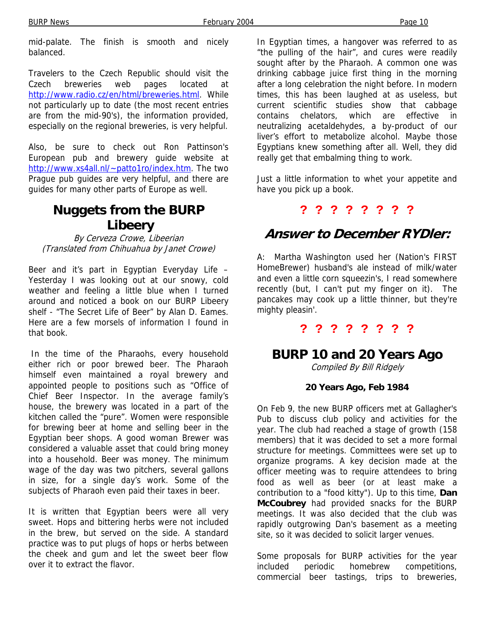mid-palate. The finish is smooth and nicely balanced.

Travelers to the Czech Republic should visit the Czech breweries web pages located at http://www.radio.cz/en/html/breweries.html. While not particularly up to date (the most recent entries are from the mid-90's), the information provided, especially on the regional breweries, is very helpful.

Also, be sure to check out Ron Pattinson's European pub and brewery guide website at http://www.xs4all.nl/~patto1ro/index.htm. The two Prague pub guides are very helpful, and there are guides for many other parts of Europe as well.

## **Nuggets from the BURP Libeery**

By Cerveza Crowe, Libeerian (Translated from Chihuahua by Janet Crowe)

Beer and it's part in Egyptian Everyday Life – Yesterday I was looking out at our snowy, cold weather and feeling a little blue when I turned around and noticed a book on our BURP Libeery shelf - "The Secret Life of Beer" by Alan D. Eames. Here are a few morsels of information I found in that book.

 In the time of the Pharaohs, every household either rich or poor brewed beer. The Pharaoh himself even maintained a royal brewery and appointed people to positions such as "Office of Chief Beer Inspector. In the average family's house, the brewery was located in a part of the kitchen called the "pure". Women were responsible for brewing beer at home and selling beer in the Egyptian beer shops. A good woman Brewer was considered a valuable asset that could bring money into a household. Beer was money. The minimum wage of the day was two pitchers, several gallons in size, for a single day's work. Some of the subjects of Pharaoh even paid their taxes in beer.

It is written that Egyptian beers were all very sweet. Hops and bittering herbs were not included in the brew, but served on the side. A standard practice was to put plugs of hops or herbs between the cheek and gum and let the sweet beer flow over it to extract the flavor.

In Egyptian times, a hangover was referred to as "the pulling of the hair", and cures were readily sought after by the Pharaoh. A common one was drinking cabbage juice first thing in the morning after a long celebration the night before. In modern times, this has been laughed at as useless, but current scientific studies show that cabbage contains chelators, which are effective in neutralizing acetaldehydes, a by-product of our liver's effort to metabolize alcohol. Maybe those Egyptians knew something after all. Well, they did really get that embalming thing to work.

Just a little information to whet your appetite and have you pick up a book.

### **? ? ? ? ? ? ? ?**

# **Answer to December RYDler:**

A: Martha Washington used her (Nation's FIRST HomeBrewer) husband's ale instead of milk/water and even a little corn squeezin's, I read somewhere recently (but, I can't put my finger on it). The pancakes may cook up a little thinner, but they're mighty pleasin'.

### **? ? ? ? ? ? ? ?**

### **BURP 10 and 20 Years Ago**

Compiled By Bill Ridgely

### **20 Years Ago, Feb 1984**

On Feb 9, the new BURP officers met at Gallagher's Pub to discuss club policy and activities for the year. The club had reached a stage of growth (158 members) that it was decided to set a more formal structure for meetings. Committees were set up to organize programs. A key decision made at the officer meeting was to require attendees to bring food as well as beer (or at least make a contribution to a "food kitty"). Up to this time, **Dan McCoubrey** had provided snacks for the BURP meetings. It was also decided that the club was rapidly outgrowing Dan's basement as a meeting site, so it was decided to solicit larger venues.

Some proposals for BURP activities for the year included periodic homebrew competitions, commercial beer tastings, trips to breweries,